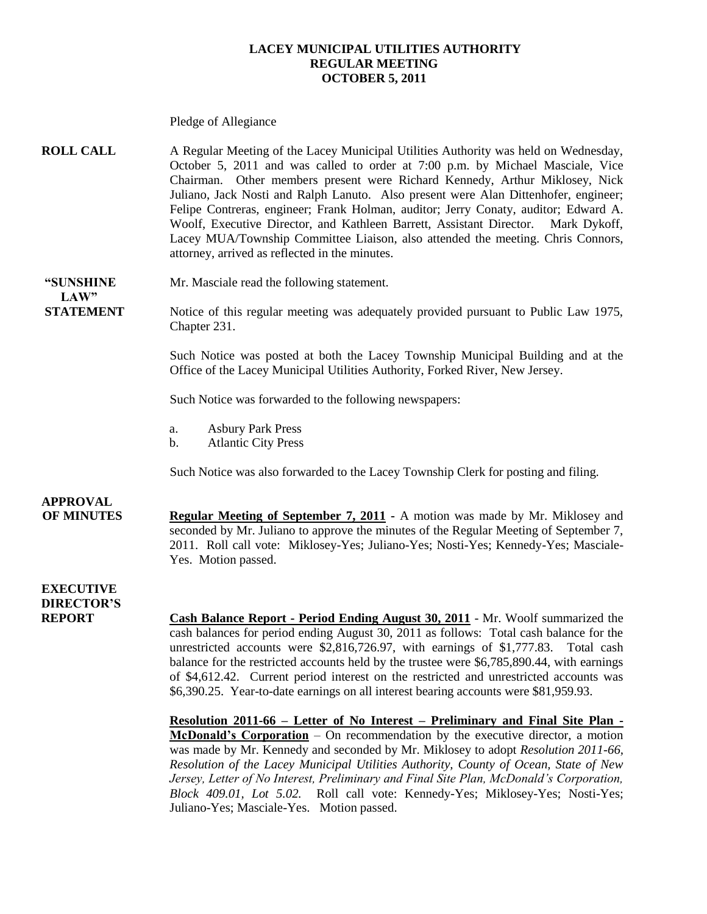#### **LACEY MUNICIPAL UTILITIES AUTHORITY REGULAR MEETING OCTOBER 5, 2011**

Pledge of Allegiance

**ROLL CALL** A Regular Meeting of the Lacey Municipal Utilities Authority was held on Wednesday, October 5, 2011 and was called to order at 7:00 p.m. by Michael Masciale, Vice Chairman. Other members present were Richard Kennedy, Arthur Miklosey, Nick Juliano, Jack Nosti and Ralph Lanuto. Also present were Alan Dittenhofer, engineer; Felipe Contreras, engineer; Frank Holman, auditor; Jerry Conaty, auditor; Edward A. Woolf, Executive Director, and Kathleen Barrett, Assistant Director. Mark Dykoff, Lacey MUA/Township Committee Liaison, also attended the meeting. Chris Connors, attorney, arrived as reflected in the minutes.

**"SUNSHINE** Mr. Masciale read the following statement.

**STATEMENT** Notice of this regular meeting was adequately provided pursuant to Public Law 1975, Chapter 231.

> Such Notice was posted at both the Lacey Township Municipal Building and at the Office of the Lacey Municipal Utilities Authority, Forked River, New Jersey.

Such Notice was forwarded to the following newspapers:

- a. Asbury Park Press
- b. Atlantic City Press

Such Notice was also forwarded to the Lacey Township Clerk for posting and filing.

### **APPROVAL**

 $LAW"$ 

**OF MINUTES Regular Meeting of September 7, 2011 -** A motion was made by Mr. Miklosey and seconded by Mr. Juliano to approve the minutes of the Regular Meeting of September 7, 2011. Roll call vote: Miklosey-Yes; Juliano-Yes; Nosti-Yes; Kennedy-Yes; Masciale-Yes. Motion passed.

### **EXECUTIVE DIRECTOR'S**

**REPORT Cash Balance Report - Period Ending August 30, 2011** - Mr. Woolf summarized the cash balances for period ending August 30, 2011 as follows: Total cash balance for the unrestricted accounts were \$2,816,726.97, with earnings of \$1,777.83. Total cash balance for the restricted accounts held by the trustee were \$6,785,890.44, with earnings of \$4,612.42. Current period interest on the restricted and unrestricted accounts was \$6,390.25. Year-to-date earnings on all interest bearing accounts were \$81,959.93.

> **Resolution 2011-66 – Letter of No Interest – Preliminary and Final Site Plan - McDonald's Corporation** – On recommendation by the executive director, a motion was made by Mr. Kennedy and seconded by Mr. Miklosey to adopt *Resolution 2011-66, Resolution of the Lacey Municipal Utilities Authority, County of Ocean, State of New Jersey, Letter of No Interest, Preliminary and Final Site Plan, McDonald's Corporation, Block 409.01, Lot 5.02.* Roll call vote: Kennedy-Yes; Miklosey-Yes; Nosti-Yes; Juliano-Yes; Masciale-Yes. Motion passed.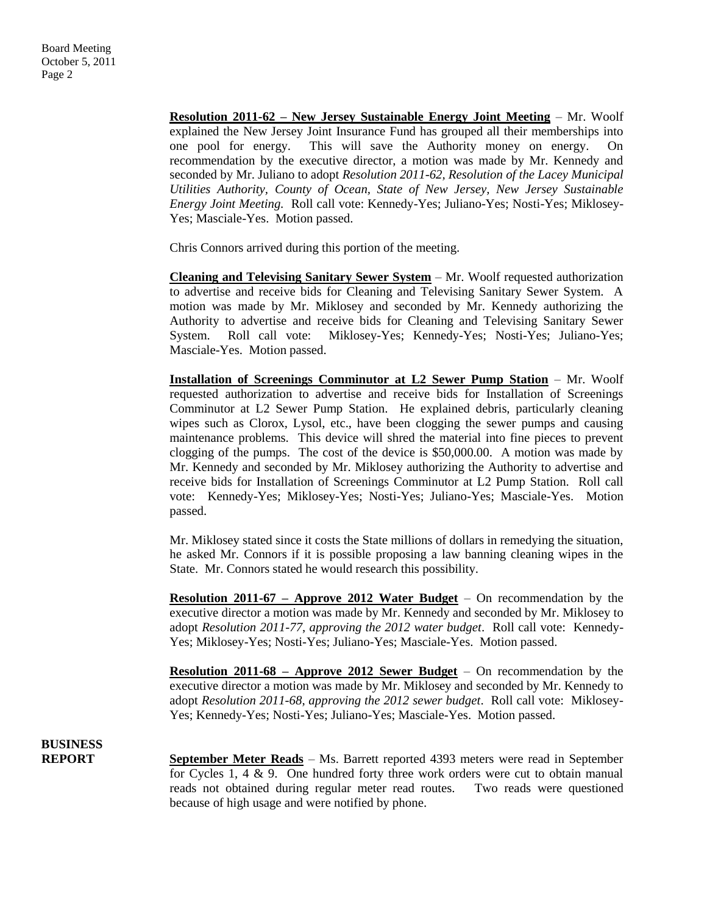**Resolution 2011-62 – New Jersey Sustainable Energy Joint Meeting** – Mr. Woolf explained the New Jersey Joint Insurance Fund has grouped all their memberships into one pool for energy. This will save the Authority money on energy. On recommendation by the executive director, a motion was made by Mr. Kennedy and seconded by Mr. Juliano to adopt *Resolution 2011-62, Resolution of the Lacey Municipal Utilities Authority, County of Ocean, State of New Jersey, New Jersey Sustainable Energy Joint Meeting.* Roll call vote: Kennedy-Yes; Juliano-Yes; Nosti-Yes; Miklosey-Yes; Masciale-Yes. Motion passed.

Chris Connors arrived during this portion of the meeting.

**Cleaning and Televising Sanitary Sewer System** – Mr. Woolf requested authorization to advertise and receive bids for Cleaning and Televising Sanitary Sewer System. A motion was made by Mr. Miklosey and seconded by Mr. Kennedy authorizing the Authority to advertise and receive bids for Cleaning and Televising Sanitary Sewer System. Roll call vote: Miklosey-Yes; Kennedy-Yes; Nosti-Yes; Juliano-Yes; Masciale-Yes. Motion passed.

**Installation of Screenings Comminutor at L2 Sewer Pump Station** – Mr. Woolf requested authorization to advertise and receive bids for Installation of Screenings Comminutor at L2 Sewer Pump Station. He explained debris, particularly cleaning wipes such as Clorox, Lysol, etc., have been clogging the sewer pumps and causing maintenance problems. This device will shred the material into fine pieces to prevent clogging of the pumps. The cost of the device is \$50,000.00. A motion was made by Mr. Kennedy and seconded by Mr. Miklosey authorizing the Authority to advertise and receive bids for Installation of Screenings Comminutor at L2 Pump Station. Roll call vote: Kennedy-Yes; Miklosey-Yes; Nosti-Yes; Juliano-Yes; Masciale-Yes. Motion passed.

Mr. Miklosey stated since it costs the State millions of dollars in remedying the situation, he asked Mr. Connors if it is possible proposing a law banning cleaning wipes in the State. Mr. Connors stated he would research this possibility.

**Resolution 2011-67 – Approve 2012 Water Budget** – On recommendation by the executive director a motion was made by Mr. Kennedy and seconded by Mr. Miklosey to adopt *Resolution 2011-77*, *approving the 2012 water budget*. Roll call vote: Kennedy-Yes; Miklosey-Yes; Nosti-Yes; Juliano-Yes; Masciale-Yes. Motion passed.

**Resolution 2011-68 – Approve 2012 Sewer Budget** – On recommendation by the executive director a motion was made by Mr. Miklosey and seconded by Mr. Kennedy to adopt *Resolution 2011-68*, *approving the 2012 sewer budget*. Roll call vote: Miklosey-Yes; Kennedy-Yes; Nosti-Yes; Juliano-Yes; Masciale-Yes. Motion passed.

**BUSINESS**

**REPORT** September Meter Reads – Ms. Barrett reported 4393 meters were read in September for Cycles 1, 4 & 9. One hundred forty three work orders were cut to obtain manual reads not obtained during regular meter read routes. Two reads were questioned because of high usage and were notified by phone.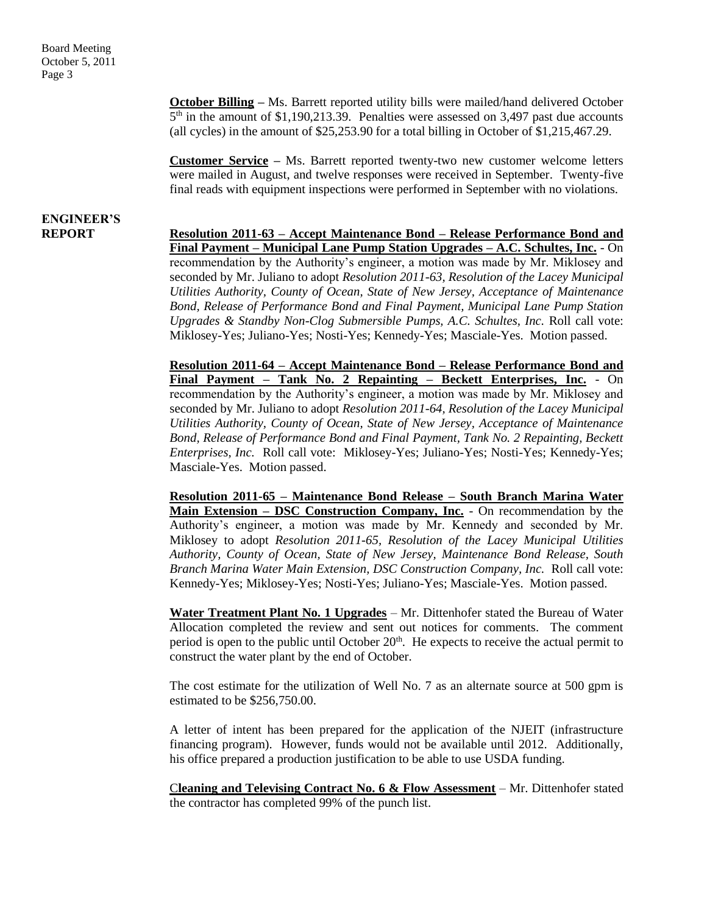**October Billing –** Ms. Barrett reported utility bills were mailed/hand delivered October 5<sup>th</sup> in the amount of \$1,190,213.39. Penalties were assessed on 3,497 past due accounts (all cycles) in the amount of \$25,253.90 for a total billing in October of \$1,215,467.29.

**Customer Service –** Ms. Barrett reported twenty-two new customer welcome letters were mailed in August, and twelve responses were received in September. Twenty-five final reads with equipment inspections were performed in September with no violations.

# **ENGINEER'S**

**REPORT Resolution 2011-63 – Accept Maintenance Bond – Release Performance Bond and Final Payment – Municipal Lane Pump Station Upgrades – A.C. Schultes, Inc.** - On recommendation by the Authority's engineer, a motion was made by Mr. Miklosey and seconded by Mr. Juliano to adopt *Resolution 2011-63, Resolution of the Lacey Municipal Utilities Authority, County of Ocean, State of New Jersey, Acceptance of Maintenance Bond, Release of Performance Bond and Final Payment, Municipal Lane Pump Station Upgrades & Standby Non-Clog Submersible Pumps, A.C. Schultes, Inc. Roll call vote:* Miklosey-Yes; Juliano-Yes; Nosti-Yes; Kennedy-Yes; Masciale-Yes. Motion passed.

> **Resolution 2011-64 – Accept Maintenance Bond – Release Performance Bond and Final Payment – Tank No. 2 Repainting – Beckett Enterprises, Inc.** - On recommendation by the Authority's engineer, a motion was made by Mr. Miklosey and seconded by Mr. Juliano to adopt *Resolution 2011-64, Resolution of the Lacey Municipal Utilities Authority, County of Ocean, State of New Jersey, Acceptance of Maintenance Bond, Release of Performance Bond and Final Payment, Tank No. 2 Repainting, Beckett Enterprises, Inc.* Roll call vote: Miklosey-Yes; Juliano-Yes; Nosti-Yes; Kennedy-Yes; Masciale-Yes. Motion passed.

> **Resolution 2011-65 – Maintenance Bond Release – South Branch Marina Water Main Extension – DSC Construction Company, Inc.** - On recommendation by the Authority's engineer, a motion was made by Mr. Kennedy and seconded by Mr. Miklosey to adopt *Resolution 2011-65, Resolution of the Lacey Municipal Utilities Authority, County of Ocean, State of New Jersey, Maintenance Bond Release, South Branch Marina Water Main Extension, DSC Construction Company, Inc.* Roll call vote: Kennedy-Yes; Miklosey-Yes; Nosti-Yes; Juliano-Yes; Masciale-Yes. Motion passed.

> **Water Treatment Plant No. 1 Upgrades** – Mr. Dittenhofer stated the Bureau of Water Allocation completed the review and sent out notices for comments. The comment period is open to the public until October  $20<sup>th</sup>$ . He expects to receive the actual permit to construct the water plant by the end of October.

> The cost estimate for the utilization of Well No. 7 as an alternate source at 500 gpm is estimated to be \$256,750.00.

> A letter of intent has been prepared for the application of the NJEIT (infrastructure financing program). However, funds would not be available until 2012. Additionally, his office prepared a production justification to be able to use USDA funding.

> C**leaning and Televising Contract No. 6 & Flow Assessment** – Mr. Dittenhofer stated the contractor has completed 99% of the punch list.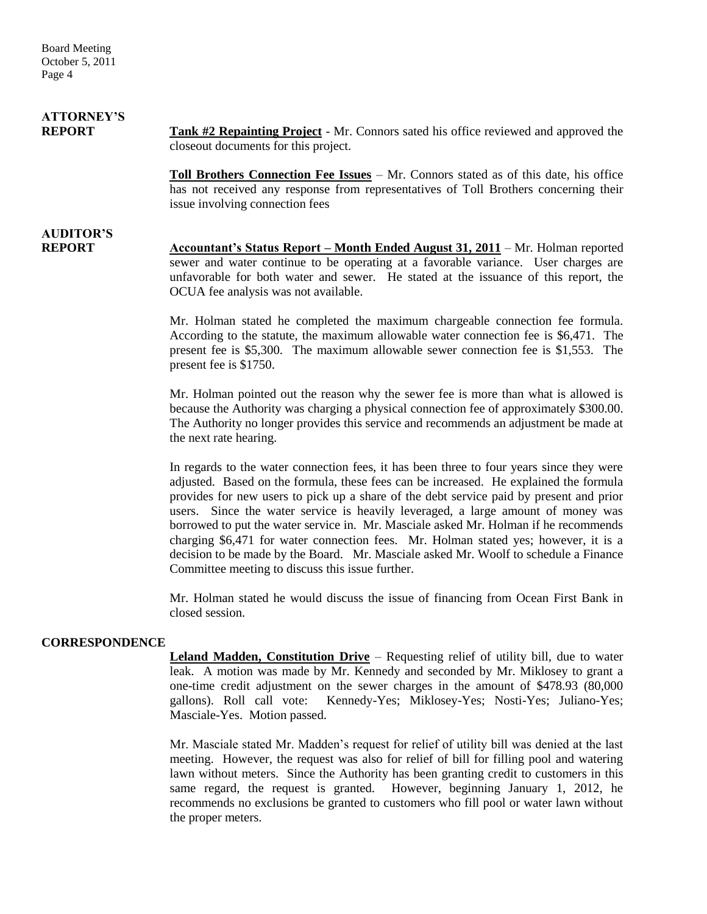Board Meeting October 5, 2011 Page 4

| <b>ATTORNEY'S</b> |  |
|-------------------|--|
| <b>REPORT</b>     |  |

**Tank #2 Repainting Project** - Mr. Connors sated his office reviewed and approved the closeout documents for this project.

**Toll Brothers Connection Fee Issues** – Mr. Connors stated as of this date, his office has not received any response from representatives of Toll Brothers concerning their issue involving connection fees

### **AUDITOR'S**

**REPORT Accountant's Status Report – Month Ended August 31, 2011** – Mr. Holman reported sewer and water continue to be operating at a favorable variance. User charges are unfavorable for both water and sewer. He stated at the issuance of this report, the OCUA fee analysis was not available.

> Mr. Holman stated he completed the maximum chargeable connection fee formula. According to the statute, the maximum allowable water connection fee is \$6,471. The present fee is \$5,300. The maximum allowable sewer connection fee is \$1,553. The present fee is \$1750.

> Mr. Holman pointed out the reason why the sewer fee is more than what is allowed is because the Authority was charging a physical connection fee of approximately \$300.00. The Authority no longer provides this service and recommends an adjustment be made at the next rate hearing.

> In regards to the water connection fees, it has been three to four years since they were adjusted. Based on the formula, these fees can be increased. He explained the formula provides for new users to pick up a share of the debt service paid by present and prior users. Since the water service is heavily leveraged, a large amount of money was borrowed to put the water service in. Mr. Masciale asked Mr. Holman if he recommends charging \$6,471 for water connection fees. Mr. Holman stated yes; however, it is a decision to be made by the Board. Mr. Masciale asked Mr. Woolf to schedule a Finance Committee meeting to discuss this issue further.

> Mr. Holman stated he would discuss the issue of financing from Ocean First Bank in closed session.

#### **CORRESPONDENCE**

**Leland Madden, Constitution Drive** – Requesting relief of utility bill, due to water leak. A motion was made by Mr. Kennedy and seconded by Mr. Miklosey to grant a one-time credit adjustment on the sewer charges in the amount of \$478.93 (80,000 gallons). Roll call vote: Kennedy-Yes; Miklosey-Yes; Nosti-Yes; Juliano-Yes; Masciale-Yes. Motion passed.

Mr. Masciale stated Mr. Madden's request for relief of utility bill was denied at the last meeting. However, the request was also for relief of bill for filling pool and watering lawn without meters. Since the Authority has been granting credit to customers in this same regard, the request is granted. However, beginning January 1, 2012, he recommends no exclusions be granted to customers who fill pool or water lawn without the proper meters.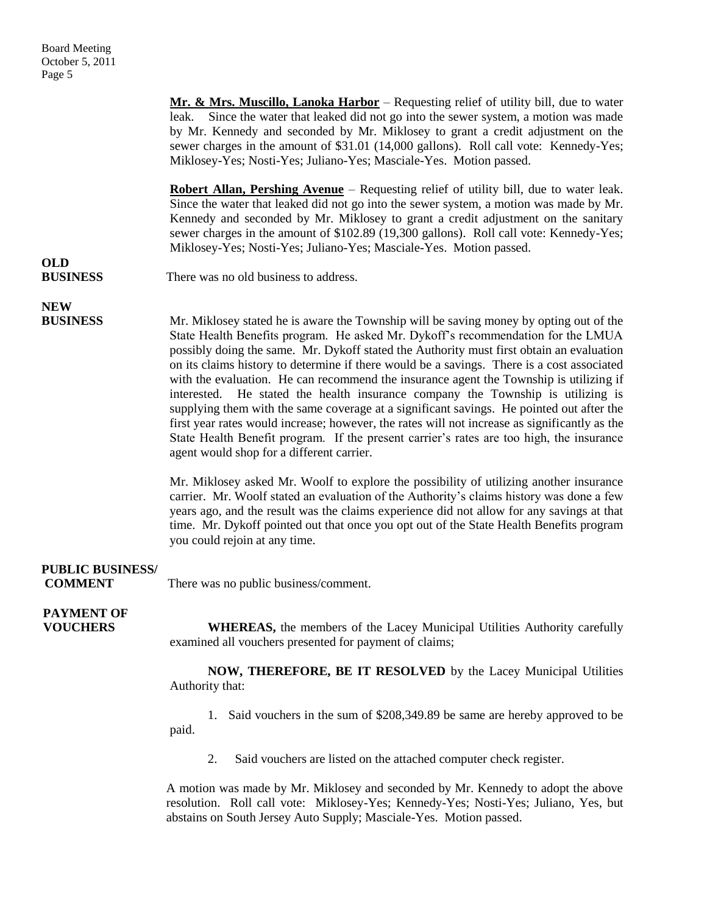**Mr. & Mrs. Muscillo, Lanoka Harbor** – Requesting relief of utility bill, due to water leak. Since the water that leaked did not go into the sewer system, a motion was made by Mr. Kennedy and seconded by Mr. Miklosey to grant a credit adjustment on the sewer charges in the amount of \$31.01 (14,000 gallons). Roll call vote: Kennedy-Yes; Miklosey-Yes; Nosti-Yes; Juliano-Yes; Masciale-Yes. Motion passed.

**Robert Allan, Pershing Avenue** – Requesting relief of utility bill, due to water leak. Since the water that leaked did not go into the sewer system, a motion was made by Mr. Kennedy and seconded by Mr. Miklosey to grant a credit adjustment on the sanitary sewer charges in the amount of \$102.89 (19,300 gallons). Roll call vote: Kennedy-Yes; Miklosey-Yes; Nosti-Yes; Juliano-Yes; Masciale-Yes. Motion passed.

## **OLD**

#### **BUSINESS** There was no old business to address.

### **NEW**

**BUSINESS** Mr. Miklosey stated he is aware the Township will be saving money by opting out of the State Health Benefits program. He asked Mr. Dykoff's recommendation for the LMUA possibly doing the same. Mr. Dykoff stated the Authority must first obtain an evaluation on its claims history to determine if there would be a savings. There is a cost associated with the evaluation. He can recommend the insurance agent the Township is utilizing if interested. He stated the health insurance company the Township is utilizing is supplying them with the same coverage at a significant savings. He pointed out after the first year rates would increase; however, the rates will not increase as significantly as the State Health Benefit program. If the present carrier's rates are too high, the insurance agent would shop for a different carrier.

> Mr. Miklosey asked Mr. Woolf to explore the possibility of utilizing another insurance carrier. Mr. Woolf stated an evaluation of the Authority's claims history was done a few years ago, and the result was the claims experience did not allow for any savings at that time. Mr. Dykoff pointed out that once you opt out of the State Health Benefits program you could rejoin at any time.

#### **PUBLIC BUSINESS/ COMMENT** There was no public business/comment.

# **PAYMENT OF**

**VOUCHERS** WHEREAS, the members of the Lacey Municipal Utilities Authority carefully examined all vouchers presented for payment of claims;

> **NOW, THEREFORE, BE IT RESOLVED** by the Lacey Municipal Utilities Authority that:

> 1. Said vouchers in the sum of \$208,349.89 be same are hereby approved to be paid.

2. Said vouchers are listed on the attached computer check register.

A motion was made by Mr. Miklosey and seconded by Mr. Kennedy to adopt the above resolution. Roll call vote: Miklosey-Yes; Kennedy-Yes; Nosti-Yes; Juliano, Yes, but abstains on South Jersey Auto Supply; Masciale-Yes. Motion passed.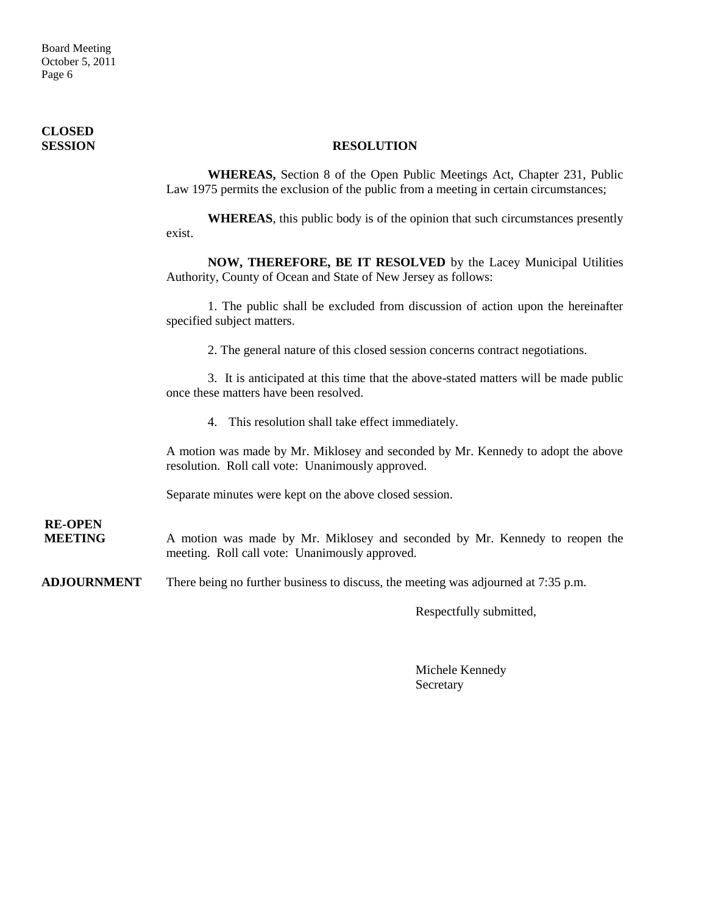### **CLOSED**

#### **SESSION RESOLUTION**

**WHEREAS,** Section 8 of the Open Public Meetings Act, Chapter 231, Public Law 1975 permits the exclusion of the public from a meeting in certain circumstances;

**WHEREAS**, this public body is of the opinion that such circumstances presently exist.

**NOW, THEREFORE, BE IT RESOLVED** by the Lacey Municipal Utilities Authority, County of Ocean and State of New Jersey as follows:

1. The public shall be excluded from discussion of action upon the hereinafter specified subject matters.

2. The general nature of this closed session concerns contract negotiations.

3. It is anticipated at this time that the above-stated matters will be made public once these matters have been resolved.

4. This resolution shall take effect immediately.

A motion was made by Mr. Miklosey and seconded by Mr. Kennedy to adopt the above resolution. Roll call vote: Unanimously approved.

Separate minutes were kept on the above closed session.

### **RE-OPEN**

**MEETING** A motion was made by Mr. Miklosey and seconded by Mr. Kennedy to reopen the meeting. Roll call vote: Unanimously approved.

**ADJOURNMENT** There being no further business to discuss, the meeting was adjourned at 7:35 p.m.

Respectfully submitted,

Michele Kennedy Secretary